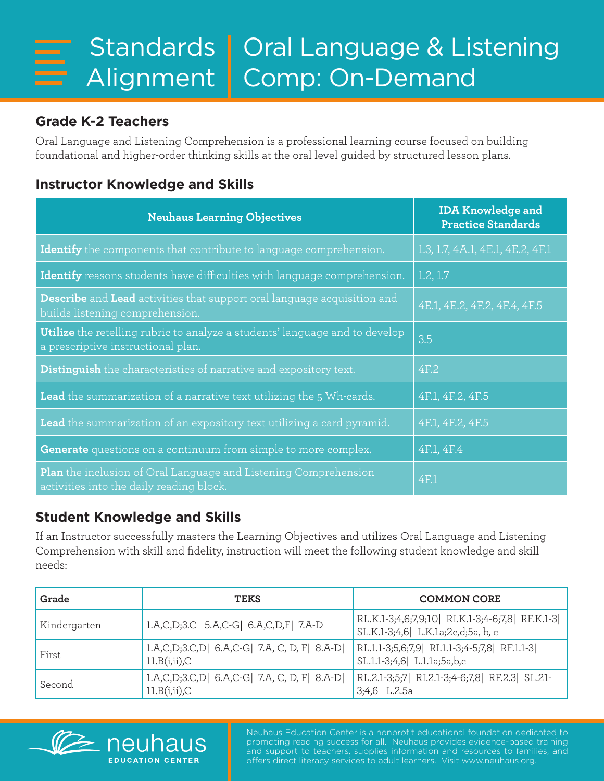## **Grade K-2 Teachers**

Oral Language and Listening Comprehension is a professional learning course focused on building foundational and higher-order thinking skills at the oral level guided by structured lesson plans.

## **Instructor Knowledge and Skills**

| <b>Neuhaus Learning Objectives</b>                                                                                       | <b>IDA Knowledge and</b><br><b>Practice Standards</b> |
|--------------------------------------------------------------------------------------------------------------------------|-------------------------------------------------------|
| Identify the components that contribute to language comprehension.                                                       | 1.3, 1.7, 4A.1, 4E.1, 4E.2, 4F.1                      |
| Identify reasons students have difficulties with language comprehension.                                                 | 1.2, 1.7                                              |
| <b>Describe</b> and Lead activities that support oral language acquisition and<br>builds listening comprehension.        | 4E.1, 4E.2, 4F.2, 4F.4, 4F.5                          |
| <b>Utilize</b> the retelling rubric to analyze a students' language and to develop<br>a prescriptive instructional plan. | 3.5                                                   |
| <b>Distinguish</b> the characteristics of narrative and expository text.                                                 | 4F.2                                                  |
| <b>Lead</b> the summarization of a narrative text utilizing the 5 Wh-cards.                                              | 4F.1, 4F.2, 4F.5                                      |
| Lead the summarization of an expository text utilizing a card pyramid.                                                   | 4F.1, 4F.2, 4F.5                                      |
| Generate questions on a continuum from simple to more complex.                                                           | 4F.1, 4F.4                                            |
| <b>Plan</b> the inclusion of Oral Language and Listening Comprehension<br>activities into the daily reading block.       | 4F.1                                                  |

## **Student Knowledge and Skills**

If an Instructor successfully masters the Learning Objectives and utilizes Oral Language and Listening Comprehension with skill and fidelity, instruction will meet the following student knowledge and skill needs:

| Grade        | <b>TEKS</b>                                                      | <b>COMMON CORE</b>                                                                 |
|--------------|------------------------------------------------------------------|------------------------------------------------------------------------------------|
| Kindergarten | 1.A,C,D;3.C  5.A,C-G  6.A,C,D,F  7.A-D                           | RL.K.1-3;4,6;7,9;10 RI.K.1-3;4-6;7,8 RF.K.1-3<br>SL.K.1-3;4,6 L.K.1a;2c,d;5a, b, c |
| First        | 1.A,C,D;3.C,D  6.A,C-G  7.A, C, D, F  8.A-D <br>$11.B(i,ii)$ , C | RL.1.1-3;5,6;7,9  RI.1.1-3;4-5;7,8  RF.1.1-3 <br>SL.1.1-3;4,6 L.1.1a;5a,b,c        |
| Second       | 1.A,C,D;3.C,D  6.A,C-G  7.A, C, D, F  8.A-D <br>$11.B(i,ii)$ , C | RL.2.1-3;5;7 RI.2.1-3;4-6;7,8 RF.2.3 SL.21-<br>$3;4,6$ L.2.5a                      |



Neuhaus Education Center is a nonprofit educational foundation dedicated to promoting reading success for all. Neuhaus provides evidence-based training and support to teachers, supplies information and resources to families, and offers direct literacy services to adult learners. Visit www.neuhaus.org.